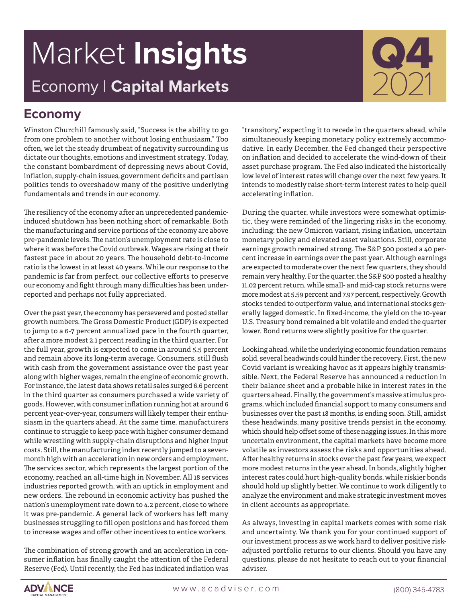# Market **Insights** Economy | **Capital Markets**



## **Economy**

Winston Churchill famously said, "Success is the ability to go from one problem to another without losing enthusiasm." Too often, we let the steady drumbeat of negativity surrounding us dictate our thoughts, emotions and investment strategy. Today, the constant bombardment of depressing news about Covid, inflation, supply-chain issues, government deficits and partisan politics tends to overshadow many of the positive underlying fundamentals and trends in our economy.

The resiliency of the economy after an unprecedented pandemicinduced shutdown has been nothing short of remarkable. Both the manufacturing and service portions of the economy are above pre-pandemic levels. The nation's unemployment rate is close to where it was before the Covid outbreak. Wages are rising at their fastest pace in about 20 years. The household debt-to-income ratio is the lowest in at least 40 years. While our response to the pandemic is far from perfect, our collective efforts to preserve our economy and fight through many difficulties has been underreported and perhaps not fully appreciated.

Over the past year, the economy has persevered and posted stellar growth numbers. The Gross Domestic Product (GDP) is expected to jump to a 6-7 percent annualized pace in the fourth quarter, after a more modest 2.1 percent reading in the third quarter. For the full year, growth is expected to come in around 5.5 percent and remain above its long-term average. Consumers, still flush with cash from the government assistance over the past year along with higher wages, remain the engine of economic growth. For instance, the latest data shows retail sales surged 6.6 percent in the third quarter as consumers purchased a wide variety of goods. However, with consumer inflation running hot at around 6 percent year-over-year, consumers will likely temper their enthusiasm in the quarters ahead. At the same time, manufacturers continue to struggle to keep pace with higher consumer demand while wrestling with supply-chain disruptions and higher input costs. Still, the manufacturing index recently jumped to a sevenmonth high with an acceleration in new orders and employment. The services sector, which represents the largest portion of the economy, reached an all-time high in November. All 18 services industries reported growth, with an uptick in employment and new orders. The rebound in economic activity has pushed the nation's unemployment rate down to 4.2 percent, close to where it was pre-pandemic. A general lack of workers has left many businesses struggling to fill open positions and has forced them to increase wages and offer other incentives to entice workers.

The combination of strong growth and an acceleration in consumer inflation has finally caught the attention of the Federal Reserve (Fed). Until recently, the Fed has indicated inflation was

"transitory," expecting it to recede in the quarters ahead, while simultaneously keeping monetary policy extremely accommodative. In early December, the Fed changed their perspective on inflation and decided to accelerate the wind-down of their asset purchase program. The Fed also indicated the historically low level of interest rates will change over the next few years. It intends to modestly raise short-term interest rates to help quell accelerating inflation.

During the quarter, while investors were somewhat optimistic, they were reminded of the lingering risks in the economy, including: the new Omicron variant, rising inflation, uncertain monetary policy and elevated asset valuations. Still, corporate earnings growth remained strong. The S&P 500 posted a 40 percent increase in earnings over the past year. Although earnings are expected to moderate over the next few quarters, they should remain very healthy. For the quarter, the S&P 500 posted a healthy 11.02 percent return, while small- and mid-cap stock returns were more modest at 5.59 percent and 7.97 percent, respectively. Growth stocks tended to outperform value, and international stocks generally lagged domestic. In fixed-income, the yield on the 10-year U.S. Treasury bond remained a bit volatile and ended the quarter lower. Bond returns were slightly positive for the quarter.

Looking ahead, while the underlying economic foundation remains solid, several headwinds could hinder the recovery. First, the new Covid variant is wreaking havoc as it appears highly transmissible. Next, the Federal Reserve has announced a reduction in their balance sheet and a probable hike in interest rates in the quarters ahead. Finally, the government's massive stimulus programs, which included financial support to many consumers and businesses over the past 18 months, is ending soon. Still, amidst these headwinds, many positive trends persist in the economy, which should help offset some of these nagging issues. In this more uncertain environment, the capital markets have become more volatile as investors assess the risks and opportunities ahead. After healthy returns in stocks over the past few years, we expect more modest returns in the year ahead. In bonds, slightly higher interest rates could hurt high-quality bonds, while riskier bonds should hold up slightly better. We continue to work diligently to analyze the environment and make strategic investment moves in client accounts as appropriate.

As always, investing in capital markets comes with some risk and uncertainty. We thank you for your continued support of our investment process as we work hard to deliver positive riskadjusted portfolio returns to our clients. Should you have any questions, please do not hesitate to reach out to your financial adviser.